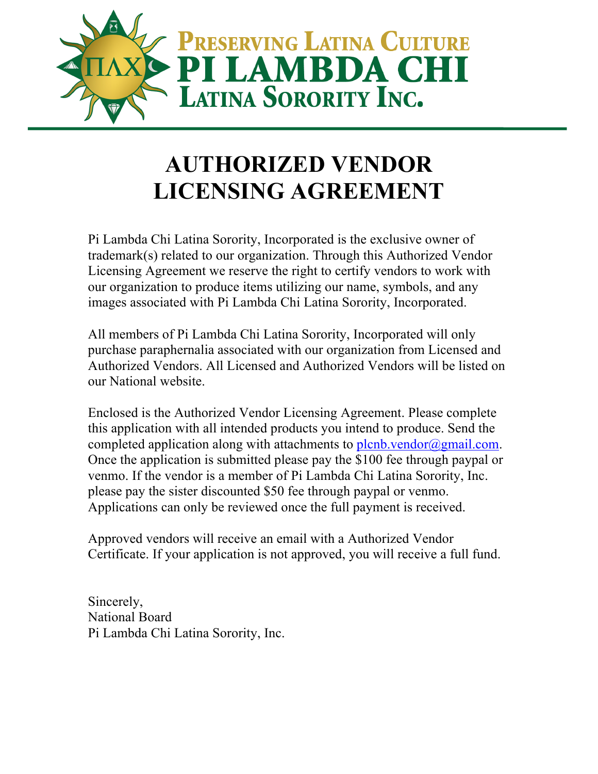

## **AUTHORIZED VENDOR LICENSING AGREEMENT**

Pi Lambda Chi Latina Sorority, Incorporated is the exclusive owner of trademark(s) related to our organization. Through this Authorized Vendor Licensing Agreement we reserve the right to certify vendors to work with our organization to produce items utilizing our name, symbols, and any images associated with Pi Lambda Chi Latina Sorority, Incorporated.

All members of Pi Lambda Chi Latina Sorority, Incorporated will only purchase paraphernalia associated with our organization from Licensed and Authorized Vendors. All Licensed and Authorized Vendors will be listed on our National website.

Enclosed is the Authorized Vendor Licensing Agreement. Please complete this application with all intended products you intend to produce. Send the completed application along with attachments to plcnb.vendor@gmail.com. Once the application is submitted please pay the \$100 fee through paypal or venmo. If the vendor is a member of Pi Lambda Chi Latina Sorority, Inc. please pay the sister discounted \$50 fee through paypal or venmo. Applications can only be reviewed once the full payment is received.

Approved vendors will receive an email with a Authorized Vendor Certificate. If your application is not approved, you will receive a full fund.

Sincerely, National Board Pi Lambda Chi Latina Sorority, Inc.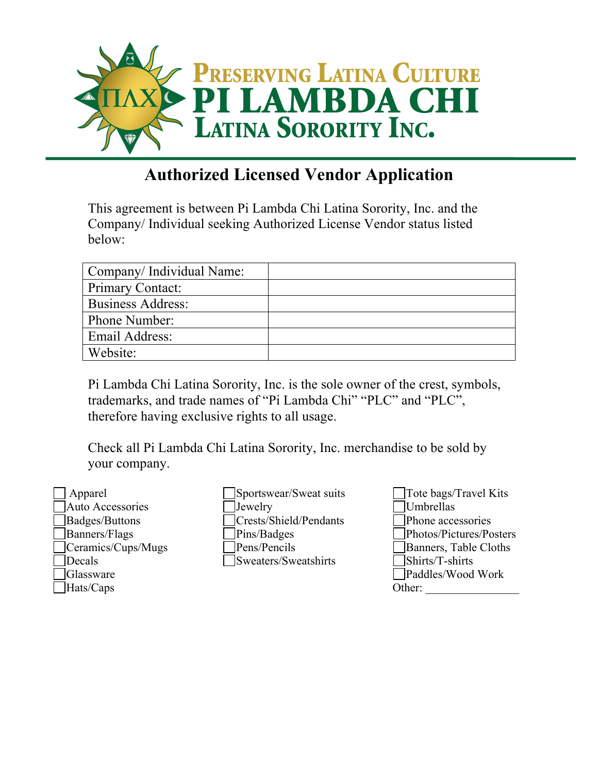

## **Authorized Licensed Vendor Application**

This agreement is between Pi Lambda Chi Latina Sorority, Inc. and the Company/ Individual seeking Authorized License Vendor status listed below:

| Company/Individual Name: |  |
|--------------------------|--|
| Primary Contact:         |  |
| <b>Business Address:</b> |  |
| Phone Number:            |  |
| Email Address:           |  |
| Website:                 |  |

Pi Lambda Chi Latina Sorority, Inc. is the sole owner of the crest, symbols, trademarks, and trade names of "Pi Lambda Chi" "PLC" and "PLC", therefore having exclusive rights to all usage.

Check all Pi Lambda Chi Latina Sorority, Inc. merchandise to be sold by your company.

| Apparel                 |
|-------------------------|
| <b>Auto Accessories</b> |
| Badges/Buttons          |
| Banners/Flags           |
| Ceramics/Cups/Mugs      |
| Decals                  |
| Glassware               |
| Hats/Caps               |

Sportswear/Sweat suits Jewelry Crests/Shield/Pendants Pins/Badges Pens/Pencils Sweaters/Sweatshirts

Tote bags/Travel Kits Umbrellas Phone accessories Photos/Pictures/Posters Banners, Table Cloths Shirts/T-shirts Paddles/Wood Work Other: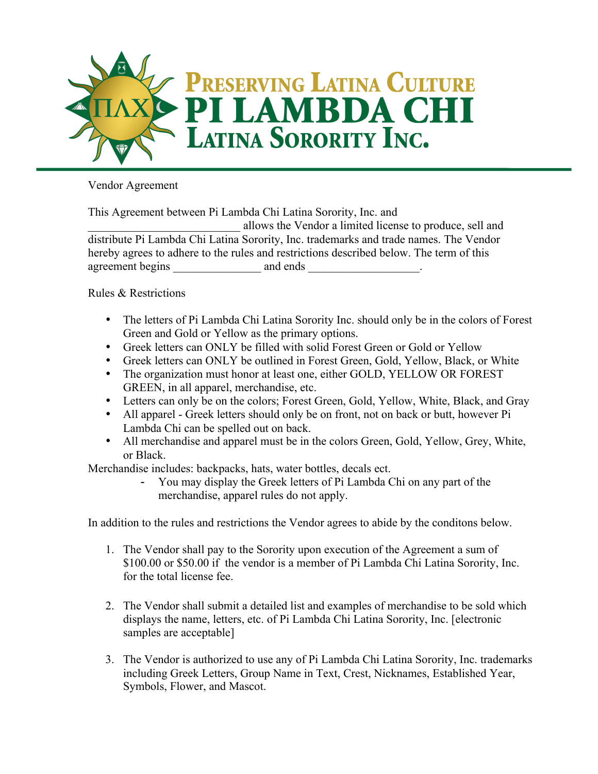

Vendor Agreement

This Agreement between Pi Lambda Chi Latina Sorority, Inc. and

\_\_\_\_\_\_\_\_\_\_\_\_\_\_\_\_\_\_\_\_\_\_\_\_\_\_ allows the Vendor a limited license to produce, sell and distribute Pi Lambda Chi Latina Sorority, Inc. trademarks and trade names. The Vendor hereby agrees to adhere to the rules and restrictions described below. The term of this agreement begins and ends and ends and ends and ends and ends and ends are  $\sim$ 

Rules & Restrictions

- The letters of Pi Lambda Chi Latina Sorority Inc. should only be in the colors of Forest Green and Gold or Yellow as the primary options.
- Greek letters can ONLY be filled with solid Forest Green or Gold or Yellow
- Greek letters can ONLY be outlined in Forest Green, Gold, Yellow, Black, or White
- The organization must honor at least one, either GOLD, YELLOW OR FOREST GREEN, in all apparel, merchandise, etc.
- Letters can only be on the colors; Forest Green, Gold, Yellow, White, Black, and Gray
- All apparel Greek letters should only be on front, not on back or butt, however Pi Lambda Chi can be spelled out on back.
- All merchandise and apparel must be in the colors Green, Gold, Yellow, Grey, White, or Black.

Merchandise includes: backpacks, hats, water bottles, decals ect.

- You may display the Greek letters of Pi Lambda Chi on any part of the merchandise, apparel rules do not apply.

In addition to the rules and restrictions the Vendor agrees to abide by the conditons below.

- 1. The Vendor shall pay to the Sorority upon execution of the Agreement a sum of \$100.00 or \$50.00 if the vendor is a member of Pi Lambda Chi Latina Sorority, Inc. for the total license fee.
- 2. The Vendor shall submit a detailed list and examples of merchandise to be sold which displays the name, letters, etc. of Pi Lambda Chi Latina Sorority, Inc. [electronic samples are acceptable]
- 3. The Vendor is authorized to use any of Pi Lambda Chi Latina Sorority, Inc. trademarks including Greek Letters, Group Name in Text, Crest, Nicknames, Established Year, Symbols, Flower, and Mascot.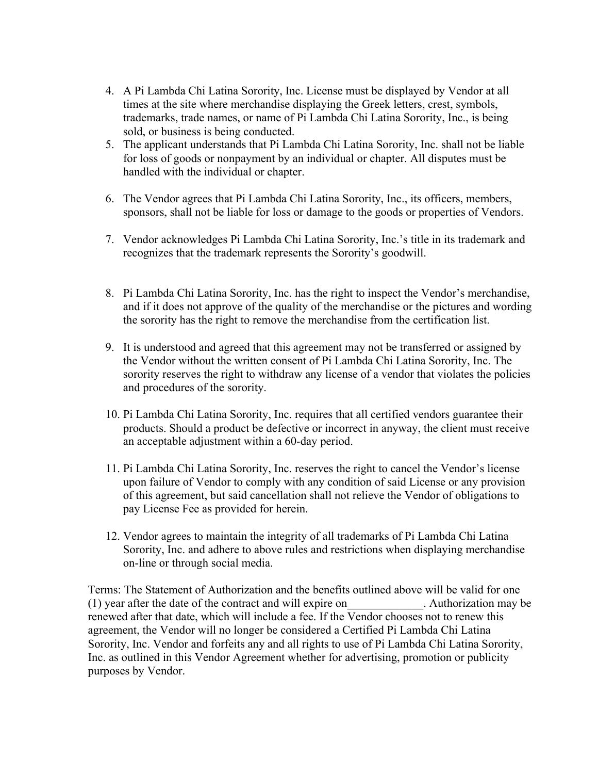- 4. A Pi Lambda Chi Latina Sorority, Inc. License must be displayed by Vendor at all times at the site where merchandise displaying the Greek letters, crest, symbols, trademarks, trade names, or name of Pi Lambda Chi Latina Sorority, Inc., is being sold, or business is being conducted.
- 5. The applicant understands that Pi Lambda Chi Latina Sorority, Inc. shall not be liable for loss of goods or nonpayment by an individual or chapter. All disputes must be handled with the individual or chapter.
- 6. The Vendor agrees that Pi Lambda Chi Latina Sorority, Inc., its officers, members, sponsors, shall not be liable for loss or damage to the goods or properties of Vendors.
- 7. Vendor acknowledges Pi Lambda Chi Latina Sorority, Inc.'s title in its trademark and recognizes that the trademark represents the Sorority's goodwill.
- 8. Pi Lambda Chi Latina Sorority, Inc. has the right to inspect the Vendor's merchandise, and if it does not approve of the quality of the merchandise or the pictures and wording the sorority has the right to remove the merchandise from the certification list.
- 9. It is understood and agreed that this agreement may not be transferred or assigned by the Vendor without the written consent of Pi Lambda Chi Latina Sorority, Inc. The sorority reserves the right to withdraw any license of a vendor that violates the policies and procedures of the sorority.
- 10. Pi Lambda Chi Latina Sorority, Inc. requires that all certified vendors guarantee their products. Should a product be defective or incorrect in anyway, the client must receive an acceptable adjustment within a 60-day period.
- 11. Pi Lambda Chi Latina Sorority, Inc. reserves the right to cancel the Vendor's license upon failure of Vendor to comply with any condition of said License or any provision of this agreement, but said cancellation shall not relieve the Vendor of obligations to pay License Fee as provided for herein.
- 12. Vendor agrees to maintain the integrity of all trademarks of Pi Lambda Chi Latina Sorority, Inc. and adhere to above rules and restrictions when displaying merchandise on-line or through social media.

Terms: The Statement of Authorization and the benefits outlined above will be valid for one (1) year after the date of the contract and will expire on\_\_\_\_\_\_\_\_\_\_\_\_\_. Authorization may be renewed after that date, which will include a fee. If the Vendor chooses not to renew this agreement, the Vendor will no longer be considered a Certified Pi Lambda Chi Latina Sorority, Inc. Vendor and forfeits any and all rights to use of Pi Lambda Chi Latina Sorority, Inc. as outlined in this Vendor Agreement whether for advertising, promotion or publicity purposes by Vendor.